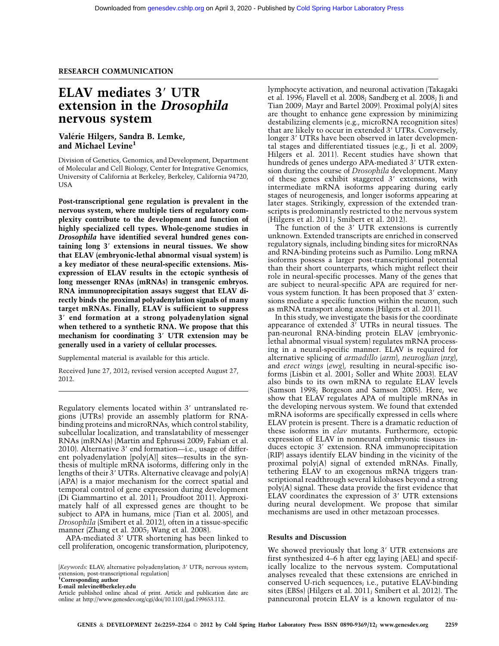# RESEARCH COMMUNICATION

# ELAV mediates 3' UTR extension in the Drosophila nervous system

# Valérie Hilgers, Sandra B. Lemke, and Michael Levine<sup>1</sup>

Division of Genetics, Genomics, and Development, Department of Molecular and Cell Biology, Center for Integrative Genomics, University of California at Berkeley, Berkeley, California 94720, USA

Post-transcriptional gene regulation is prevalent in the nervous system, where multiple tiers of regulatory complexity contribute to the development and function of highly specialized cell types. Whole-genome studies in Drosophila have identified several hundred genes containing long 3' extensions in neural tissues. We show that ELAV (embryonic-lethal abnormal visual system) is a key mediator of these neural-specific extensions. Misexpression of ELAV results in the ectopic synthesis of long messenger RNAs (mRNAs) in transgenic embryos. RNA immunoprecipitation assays suggest that ELAV directly binds the proximal polyadenylation signals of many target mRNAs. Finally, ELAV is sufficient to suppress 3' end formation at a strong polyadenylation signal when tethered to a synthetic RNA. We propose that this mechanism for coordinating 3' UTR extension may be generally used in a variety of cellular processes.

Supplemental material is available for this article.

Received June 27, 2012; revised version accepted August 27, 2012.

Regulatory elements located within 3' untranslated regions (UTRs) provide an assembly platform for RNAbinding proteins and microRNAs, which control stability, subcellular localization, and translatability of messenger RNAs (mRNAs) (Martin and Ephrussi 2009; Fabian et al. 2010). Alternative  $3'$  end formation—i.e., usage of different polyadenylation [poly(A)] sites—results in the synthesis of multiple mRNA isoforms, differing only in the lengths of their 3' UTRs. Alternative cleavage and  $poly(A)$ (APA) is a major mechanism for the correct spatial and temporal control of gene expression during development (Di Giammartino et al. 2011; Proudfoot 2011). Approximately half of all expressed genes are thought to be subject to APA in humans, mice (Tian et al. 2005), and Drosophila (Smibert et al. 2012), often in a tissue-specific manner (Zhang et al. 2005; Wang et al. 2008).

APA-mediated 3' UTR shortening has been linked to cell proliferation, oncogenic transformation, pluripotency,

lymphocyte activation, and neuronal activation (Takagaki et al. 1996; Flavell et al. 2008; Sandberg et al. 2008; Ji and Tian 2009; Mayr and Bartel 2009). Proximal poly(A) sites are thought to enhance gene expression by minimizing destabilizing elements (e.g., microRNA recognition sites) that are likely to occur in extended 3' UTRs. Conversely, longer 3' UTRs have been observed in later developmental stages and differentiated tissues (e.g., Ji et al. 2009; Hilgers et al. 2011). Recent studies have shown that hundreds of genes undergo APA-mediated 3' UTR extension during the course of Drosophila development. Many of these genes exhibit staggered 3' extensions, with intermediate mRNA isoforms appearing during early stages of neurogenesis, and longer isoforms appearing at later stages. Strikingly, expression of the extended transcripts is predominantly restricted to the nervous system (Hilgers et al. 2011; Smibert et al. 2012).

The function of the  $3'$  UTR extensions is currently unknown. Extended transcripts are enriched in conserved regulatory signals, including binding sites for microRNAs and RNA-binding proteins such as Pumilio. Long mRNA isoforms possess a larger post-transcriptional potential than their short counterparts, which might reflect their role in neural-specific processes. Many of the genes that are subject to neural-specific APA are required for nervous system function. It has been proposed that 3' extensions mediate a specific function within the neuron, such as mRNA transport along axons (Hilgers et al. 2011).

In this study, we investigate the basis for the coordinate appearance of extended 3' UTRs in neural tissues. The pan-neuronal RNA-binding protein ELAV (embryoniclethal abnormal visual system) regulates mRNA processing in a neural-specific manner. ELAV is required for alternative splicing of armadillo (arm), neuroglian (nrg), and erect wings (ewg), resulting in neural-specific isoforms (Lisbin et al. 2001; Soller and White 2003). ELAV also binds to its own mRNA to regulate ELAV levels (Samson 1998; Borgeson and Samson 2005). Here, we show that ELAV regulates APA of multiple mRNAs in the developing nervous system. We found that extended mRNA isoforms are specifically expressed in cells where ELAV protein is present. There is a dramatic reduction of these isoforms in elav mutants. Furthermore, ectopic expression of ELAV in nonneural embryonic tissues induces ectopic 3' extension. RNA immunoprecipitation (RIP) assays identify ELAV binding in the vicinity of the proximal poly(A) signal of extended mRNAs. Finally, tethering ELAV to an exogenous mRNA triggers transcriptional readthrough several kilobases beyond a strong poly(A) signal. These data provide the first evidence that ELAV coordinates the expression of  $3'$  UTR extensions during neural development. We propose that similar mechanisms are used in other metazoan processes.

## Results and Discussion

We showed previously that long 3' UTR extensions are first synthesized 4–6 h after egg laying (AEL) and specifically localize to the nervous system. Computational analyses revealed that these extensions are enriched in conserved U-rich sequences; i.e., putative ELAV-binding sites (EBSs) (Hilgers et al. 2011; Smibert et al. 2012). The panneuronal protein ELAV is a known regulator of nu-

<sup>[</sup>Keywords: ELAV; alternative polyadenylation; 3' UTR; nervous system; extension; post-transcriptional regulation]<br>**<sup>1</sup>Corresponding author** 

E-mail [mlevine@berkeley.edu](mailto:mlevine@berkeley.edu)

Article published online ahead of print. Article and publication date are online at http://www.genesdev.org/cgi/doi/10.1101/gad.199653.112.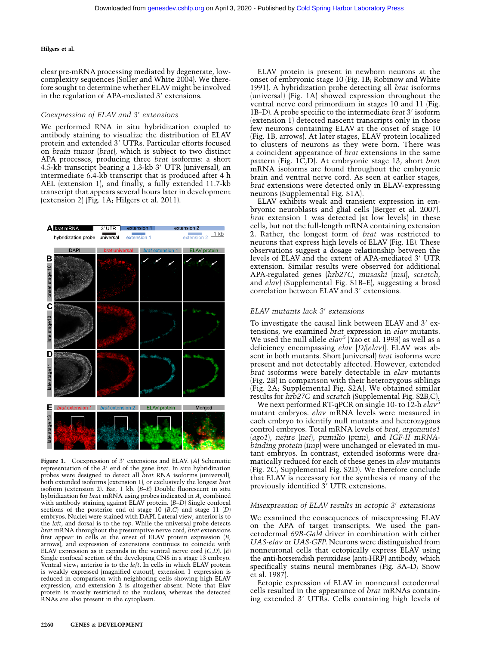#### Hilgers et al.

clear pre-mRNA processing mediated by degenerate, lowcomplexity sequences (Soller and White 2004). We therefore sought to determine whether ELAV might be involved in the regulation of APA-mediated  $3'$  extensions.

## Coexpression of ELAV and 3' extensions

We performed RNA in situ hybridization coupled to antibody staining to visualize the distribution of ELAV protein and extended 3' UTRs. Particular efforts focused on brain tumor (brat), which is subject to two distinct APA processes, producing three brat isoforms: a short 4.5-kb transcript bearing a 1.3-kb 3' UTR (universal), an intermediate 6.4-kb transcript that is produced after 4 h AEL (extension 1), and finally, a fully extended 11.7-kb transcript that appears several hours later in development (extension 2) (Fig. 1A; Hilgers et al. 2011).



Figure 1. Coexpression of  $3'$  extensions and ELAV. (A) Schematic representation of the 3' end of the gene *brat*. In situ hybridization probes were designed to detect all *brat* RNA isoforms (universal), both extended isoforms (extension 1), or exclusively the longest brat isoform (extension 2). Bar, 1 kb. (B–E) Double fluorescent in situ hybridization for brat mRNA using probes indicated in A, combined with antibody staining against ELAV protein. (B-D) Single confocal sections of the posterior end of stage 10 (B,C) and stage 11 (D) embryos. Nuclei were stained with DAPI. Lateral view; anterior is to the left, and dorsal is to the top. While the universal probe detects brat mRNA throughout the presumptive nerve cord, brat extensions first appear in cells at the onset of ELAV protein expression (B, arrows), and expression of extensions continues to coincide with ELAV expression as it expands in the ventral nerve cord  $(C, D)$ .  $(E)$ Single confocal section of the developing CNS in a stage 13 embryo. Ventral view; anterior is to the *left*. In cells in which ELAV protein is weakly expressed (magnified cutout), extension 1 expression is reduced in comparison with neighboring cells showing high ELAV expression, and extension 2 is altogether absent. Note that Elav protein is mostly restricted to the nucleus, whereas the detected RNAs are also present in the cytoplasm.

ELAV protein is present in newborn neurons at the onset of embryonic stage 10 (Fig. 1B; Robinow and White 1991). A hybridization probe detecting all brat isoforms (universal) (Fig. 1A) showed expression throughout the ventral nerve cord primordium in stages 10 and 11 (Fig. 1B–D). A probe specific to the intermediate *brat* 3' isoform (extension 1) detected nascent transcripts only in those few neurons containing ELAV at the onset of stage 10 (Fig. 1B, arrows). At later stages, ELAV protein localized to clusters of neurons as they were born. There was a coincident appearance of brat extensions in the same pattern (Fig. 1C,D). At embryonic stage 13, short brat mRNA isoforms are found throughout the embryonic brain and ventral nerve cord. As seen at earlier stages, brat extensions were detected only in ELAV-expressing neurons (Supplemental Fig. S1A).

ELAV exhibits weak and transient expression in embryonic neuroblasts and glial cells (Berger et al. 2007). brat extension 1 was detected (at low levels) in these cells, but not the full-length mRNA containing extension 2. Rather, the longest form of brat was restricted to neurons that express high levels of ELAV (Fig. 1E). These observations suggest a dosage relationship between the levels of ELAV and the extent of APA-mediated 3' UTR extension. Similar results were observed for additional APA-regulated genes (hrb27C, musashi [msi], scratch, and elav) (Supplemental Fig. S1B–E), suggesting a broad correlation between ELAV and 3' extensions.

# ELAV mutants lack 3' extensions

To investigate the causal link between ELAV and 3' extensions, we examined *brat* expression in *elav* mutants.<br>We used the null allele *elav<sup>5</sup>* (Yao et al. 1993) as well as a deficiency encompassing *elav* [*Df*(*elav*]]. ELAV was absent in both mutants. Short (universal) brat isoforms were present and not detectably affected. However, extended brat isoforms were barely detectable in elav mutants (Fig. 2B) in comparison with their heterozygous siblings (Fig. 2A; Supplemental Fig. S2A). We obtained similar results for hrb27C and scratch (Supplemental Fig. S2B,C).

We next performed RT-qPCR on single 10- to 12-h elav<sup>5</sup> mutant embryos. elav mRNA levels were measured in each embryo to identify null mutants and heterozygous control embryos. Total mRNA levels of brat, argonaute1 (ago1), nejire (nej), pumilio (pum), and IGF-II mRNAbinding protein (imp) were unchanged or elevated in mutant embryos. In contrast, extended isoforms were dramatically reduced for each of these genes in elav mutants (Fig. 2C; Supplemental Fig. S2D). We therefore conclude that ELAV is necessary for the synthesis of many of the previously identified 3' UTR extensions.

# Misexpression of ELAV results in ectopic 3' extensions

We examined the consequences of misexpressing ELAV on the APA of target transcripts. We used the panectodermal 69B-Gal4 driver in combination with either UAS-elav or UAS-GFP. Neurons were distinguished from nonneuronal cells that ectopically express ELAV using the anti-horseradish peroxidase (anti-HRP) antibody, which specifically stains neural membranes (Fig. 3A–D; Snow et al. 1987).

Ectopic expression of ELAV in nonneural ectodermal cells resulted in the appearance of brat mRNAs containing extended 3' UTRs. Cells containing high levels of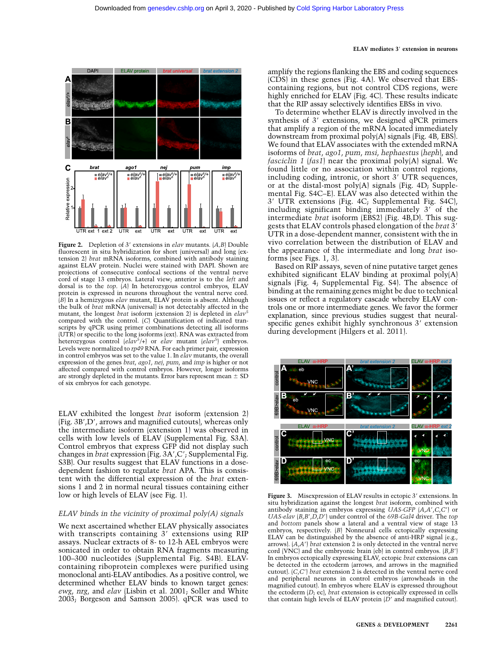



Figure 2. Depletion of 3' extensions in *elav* mutants.  $(A, B)$  Double fluorescent in situ hybridization for short (universal) and long (extension 2) brat mRNA isoforms, combined with antibody staining against ELAV protein. Nuclei were stained with DAPI. Shown are projections of consecutive confocal sections of the ventral nerve cord of stage 13 embryos. Lateral view; anterior is to the left and dorsal is to the top. (A) In heterozygous control embryos, ELAV protein is expressed in neurons throughout the ventral nerve cord.  $|B|$  In a hemizygous elav mutant, ELAV protein is absent. Although the bulk of brat mRNA (universal) is not detectably affected in the mutant, the longest *brat* isoform (extension 2) is depleted in  $elav^2$ compared with the control. (C) Quantification of indicated transcripts by qPCR using primer combinations detecting all isoforms (UTR) or specific to the long isoforms (ext). RNA was extracted from heterozygous control  $\left(\text{elav}^5\right)+\right)$  or elav mutant  $\left(\text{elav}^5\right)$  embryos. Levels were normalized to rp49 RNA. For each primer pair, expression in control embryos was set to the value 1. In elav mutants, the overall expression of the genes brat, ago1, nej, pum, and imp is higher or not affected compared with control embryos. However, longer isoforms are strongly depleted in the mutants. Error bars represent mean  $\pm$  SD of six embryos for each genotype.

ELAV exhibited the longest brat isoform (extension 2) (Fig. 3B',D', arrows and magnified cutouts), whereas only the intermediate isoform (extension 1) was observed in cells with low levels of ELAV (Supplemental Fig. S3A). Control embryos that express GFP did not display such changes in *brat* expression (Fig. 3A', C'; Supplemental Fig. S3B). Our results suggest that ELAV functions in a dosedependent fashion to regulate brat APA. This is consistent with the differential expression of the brat extensions 1 and 2 in normal neural tissues containing either low or high levels of ELAV (see Fig. 1).

### ELAV binds in the vicinity of proximal poly(A) signals

We next ascertained whether ELAV physically associates with transcripts containing  $3'$  extensions using RIP assays. Nuclear extracts of 8- to 12-h AEL embryos were sonicated in order to obtain RNA fragments measuring 100–300 nucleotides (Supplemental Fig. S4B). ELAVcontaining riboprotein complexes were purified using monoclonal anti-ELAV antibodies. As a positive control, we determined whether ELAV binds to known target genes: ewg, nrg, and elav (Lisbin et al. 2001; Soller and White 2003; Borgeson and Samson 2005). qPCR was used to amplify the regions flanking the EBS and coding sequences (CDS) in these genes (Fig. 4A). We observed that EBScontaining regions, but not control CDS regions, were highly enriched for ELAV (Fig. 4C). These results indicate that the RIP assay selectively identifies EBSs in vivo.

To determine whether ELAV is directly involved in the synthesis of  $3'$  extensions, we designed qPCR primers that amplify a region of the mRNA located immediately downstream from proximal poly(A) signals (Fig. 4B, EBS). We found that ELAV associates with the extended mRNA isoforms of brat, ago1, pum, msi, hephaestus (heph), and fasciclin 1 (fas1) near the proximal poly(A) signal. We found little or no association within control regions, including coding, intronic, or short  $3'$  UTR sequences, or at the distal-most poly(A) signals (Fig. 4D; Supplemental Fig. S4C–E). ELAV was also detected within the  $3'$  UTR extensions (Fig. 4C; Supplemental Fig. S4C), including significant binding immediately  $3'$  of the intermediate brat isoform (EBS2) (Fig. 4B,D). This suggests that ELAV controls phased elongation of the *brat* 3' UTR in a dose-dependent manner, consistent with the in vivo correlation between the distribution of ELAV and the appearance of the intermediate and long brat isoforms (see Figs. 1, 3).

Based on RIP assays, seven of nine putative target genes exhibited significant ELAV binding at proximal poly(A) signals (Fig. 4; Supplemental Fig. S4). The absence of binding at the remaining genes might be due to technical issues or reflect a regulatory cascade whereby ELAV controls one or more intermediate genes. We favor the former explanation, since previous studies suggest that neuralspecific genes exhibit highly synchronous 3' extension during development (Hilgers et al. 2011).



Figure 3. Misexpression of ELAV results in ectopic 3' extensions. In situ hybridization against the longest brat isoform, combined with antibody staining in embryos expressing UAS-GFP  $|A,A',C,C'|$  or  $UAS\text{-}elav$   $(B,B',D,D')$  under control of the 69B-Gal4 driver. The top and bottom panels show a lateral and a ventral view of stage 13 embryos, respectively. (B) Nonneural cells ectopically expressing ELAV can be distinguished by the absence of anti-HRP signal (e.g., arrows).  $(A, A')$  brat extension 2 is only detected in the ventral nerve cord (VNC) and the embryonic brain (eb) in control embryos.  $(B, B')$ In embryos ectopically expressing ELAV, ectopic brat extensions can be detected in the ectoderm (arrows, and arrows in the magnified cutout).  $(C, C')$  *brat* extension 2 is detected in the ventral nerve cord and peripheral neurons in control embryos (arrowheads in the magnified cutout). In embryos where ELAV is expressed throughout the ectoderm  $(D<sub>i</sub>$  ec), *brat* extension is ectopically expressed in cells that contain high levels of ELAV protein  $(D'$  and magnified cutout).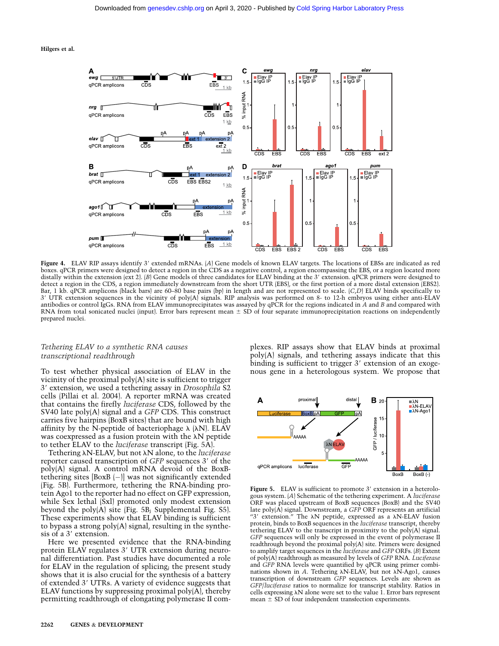Hilgers et al.



Figure 4. ELAV RIP assays identify 3' extended mRNAs. (A) Gene models of known ELAV targets. The locations of EBSs are indicated as red boxes. qPCR primers were designed to detect a region in the CDS as a negative control, a region encompassing the EBS, or a region located more distally within the extension (ext 2). (B) Gene models of three candidates for ELAV binding at the 3' extension. qPCR primers were designed to detect a region in the CDS, a region immediately downstream from the short UTR (EBS), or the first portion of a more distal extension (EBS2). Bar, 1 kb. qPCR amplicons (black bars) are 60–80 base pairs (bp) in length and are not represented to scale. (C,D) ELAV binds specifically to 39 UTR extension sequences in the vicinity of poly(A) signals. RIP analysis was performed on 8- to 12-h embryos using either anti-ELAV antibodies or control IgGs. RNA from ELAV immunoprecipitates was assayed by qPCR for the regions indicated in A and B and compared with RNA from total sonicated nuclei (input). Error bars represent mean  $\pm$  SD of four separate immunoprecipitation reactions on independently prepared nuclei.

## Tethering ELAV to a synthetic RNA causes transcriptional readthrough

To test whether physical association of ELAV in the vicinity of the proximal poly(A) site is sufficient to trigger 3' extension, we used a tethering assay in Drosophila S2 cells (Pillai et al. 2004). A reporter mRNA was created that contains the firefly luciferase CDS, followed by the SV40 late poly(A) signal and a GFP CDS. This construct carries five hairpins (BoxB sites) that are bound with high affinity by the N-peptide of bacteriophage  $\lambda$  ( $\lambda$ N). ELAV was coexpressed as a fusion protein with the  $\lambda N$  peptide to tether ELAV to the luciferase transcript (Fig. 5A).

Tethering  $\lambda$ N-ELAV, but not  $\lambda$ N alone, to the *luciferase* reporter caused transcription of GFP sequences 3' of the poly(A) signal. A control mRNA devoid of the BoxBtethering sites [BoxB (-)] was not significantly extended (Fig. 5B). Furthermore, tethering the RNA-binding protein Ago1 to the reporter had no effect on GFP expression, while Sex lethal (Sxl) promoted only modest extension beyond the poly(A) site (Fig. 5B; Supplemental Fig. S5). These experiments show that ELAV binding is sufficient to bypass a strong poly(A) signal, resulting in the synthesis of a 3' extension.

Here we presented evidence that the RNA-binding protein ELAV regulates 3' UTR extension during neuronal differentiation. Past studies have documented a role for ELAV in the regulation of splicing; the present study shows that it is also crucial for the synthesis of a battery of extended 3' UTRs. A variety of evidence suggests that ELAV functions by suppressing proximal poly(A), thereby permitting readthrough of elongating polymerase II complexes. RIP assays show that ELAV binds at proximal poly(A) signals, and tethering assays indicate that this binding is sufficient to trigger 3' extension of an exogenous gene in a heterologous system. We propose that



Figure 5. ELAV is sufficient to promote  $3'$  extension in a heterologous system. (A) Schematic of the tethering experiment. A luciferase ORF was placed upstream of BoxB sequences (BoxB) and the SV40 late poly $\overline{A}$ ) signal. Downstream, a GFP ORF represents an artificial "3' extension." The  $\lambda N$  peptide, expressed as a  $\lambda N$ -ELAV fusion protein, binds to BoxB sequences in the luciferase transcript, thereby tethering ELAV to the transcript in proximity to the poly(A) signal. GFP sequences will only be expressed in the event of polymerase II readthrough beyond the proximal poly(A) site. Primers were designed to amplify target sequences in the *luciferase* and GFP ORFs. (B) Extent of poly(A) readthrough as measured by levels of GFP RNA. Luciferase and GFP RNA levels were quantified by qPCR using primer combinations shown in A. Tethering  $\lambda$ N-ELAV, but not  $\lambda$ N-Ago1, causes transcription of downstream GFP sequences. Levels are shown as GFP/luciferase ratios to normalize for transcript stability. Ratios in cells expressing  $\lambda N$  alone were set to the value 1. Error bars represent mean  $\pm$  SD of four independent transfection experiments.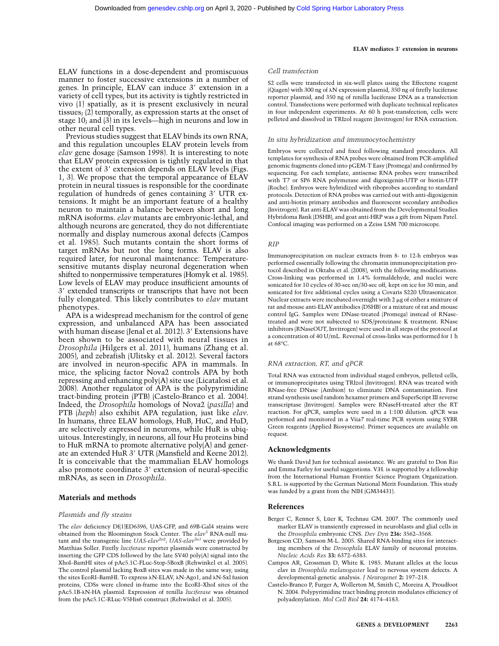#### ELAV mediates 3' extension in neurons

## Cell transfection

ELAV functions in a dose-dependent and promiscuous manner to foster successive extensions in a number of genes. In principle, ELAV can induce  $3'$  extension in a variety of cell types, but its activity is tightly restricted in vivo (1) spatially, as it is present exclusively in neural tissues; (2) temporally, as expression starts at the onset of stage 10; and (3) in its levels—high in neurons and low in other neural cell types.

Previous studies suggest that ELAV binds its own RNA, and this regulation uncouples ELAV protein levels from elav gene dosage (Samson 1998). It is interesting to note that ELAV protein expression is tightly regulated in that the extent of  $3'$  extension depends on ELAV levels (Figs. 1, 3). We propose that the temporal appearance of ELAV protein in neural tissues is responsible for the coordinate regulation of hundreds of genes containing 3' UTR extensions. It might be an important feature of a healthy neuron to maintain a balance between short and long mRNA isoforms. elav mutants are embryonic-lethal, and although neurons are generated, they do not differentiate normally and display numerous axonal defects (Campos et al. 1985). Such mutants contain the short forms of target mRNAs but not the long forms. ELAV is also required later, for neuronal maintenance: Temperaturesensitive mutants display neuronal degeneration when shifted to nonpermissive temperatures (Homyk et al. 1985). Low levels of ELAV may produce insufficient amounts of 3' extended transcripts or transcripts that have not been fully elongated. This likely contributes to *elav* mutant phenotypes.

APA is a widespread mechanism for the control of gene expression, and unbalanced APA has been associated with human disease (Jenal et al. 2012). 3' Extensions have been shown to be associated with neural tissues in Drosophila (Hilgers et al. 2011), humans (Zhang et al. 2005), and zebrafish (Ulitsky et al. 2012). Several factors are involved in neuron-specific APA in mammals. In mice, the splicing factor Nova2 controls APA by both repressing and enhancing poly(A) site use (Licatalosi et al. 2008). Another regulator of APA is the polypyrimidine tract-binding protein (PTB) (Castelo-Branco et al. 2004). Indeed, the Drosophila homologs of Nova2 (pasilla) and PTB (heph) also exhibit APA regulation, just like elav. In humans, three ELAV homologs, HuB, HuC, and HuD, are selectively expressed in neurons, while HuR is ubiquitous. Interestingly, in neurons, all four Hu proteins bind to HuR mRNA to promote alternative poly(A) and generate an extended HuR 3' UTR (Mansfield and Keene 2012). It is conceivable that the mammalian ELAV homologs also promote coordinate 3' extension of neural-specific mRNAs, as seen in Drosophila.

## Materials and methods

#### Plasmids and fly strains

The elav deficiency Df(1)ED6396, UAS-GFP, and 69B-Gal4 strains were obtained from the Bloomington Stock Center. The  $elav^5$  RNA-null mutant and the transgenic line  $UAS\text{-}elav^{2e2}$ ;  $UAS\text{-}elav^{3e1}$  were provided by Matthias Soller. Firefly luciferase reporter plasmids were constructed by inserting the GFP CDS followed by the late SV40 poly(A) signal into the XhoI–BamHI sites of pAc5.1C-FLuc-Stop-5BoxB (Rehwinkel et al. 2005). The control plasmid lacking BoxB sites was made in the same way, using the sites EcoRI–BamHI. To express λN-ELAV, λN-Ago1, and λN-Sxl fusion proteins, CDSs were cloned in-frame into the EcoRI–XhoI sites of the pAc5.1B- $\lambda$ N-HA plasmid. Expression of renilla luciferase was obtained from the pAc5.1C-RLuc-V5His6 construct (Rehwinkel et al. 2005).

S2 cells were transfected in six-well plates using the Effectene reagent (Qiagen) with 300 ng of  $\lambda N$  expression plasmid, 350 ng of firefly luciferase reporter plasmid, and 350 ng of renilla luciferase DNA as a transfection control. Transfections were performed with duplicate technical replicates in four independent experiments. At 60 h post-transfection, cells were pelleted and dissolved in TRIzol reagent (Invitrogen) for RNA extraction.

#### In situ hybridization and immunocytochemistry

Embryos were collected and fixed following standard procedures. All templates for synthesis of RNA probes were obtained from PCR-amplified genomic fragments cloned into pGEM-T Easy (Promega) and confirmed by sequencing. For each template, antisense RNA probes were transcribed with T7 or SP6 RNA polymerase and digoxigenin-UTP or biotin-UTP (Roche). Embryos were hybridized with riboprobes according to standard protocols. Detection of RNA probes was carried out with anti-digoxigenin and anti-biotin primary antibodies and fluorescent secondary antibodies (Invitrogen). Rat anti-ELAV was obtained from the Developmental Studies Hybridoma Bank (DSHB), and goat anti-HRP was a gift from Nipam Patel. Confocal imaging was performed on a Zeiss LSM 700 microscope.

#### RIP

Immunoprecipitation on nuclear extracts from 8- to 12-h embryos was performed essentially following the chromatin immunoprecipitation protocol described in Oktaba et al. (2008), with the following modifications. Cross-linking was performed in 1.4% formaldehyde, and nuclei were sonicated for 10 cycles of 30-sec on/30-sec off, kept on ice for 30 min, and sonicated for five additional cycles using a Covaris S220 Ultrasonicator. Nuclear extracts were incubated overnight with  $2 \mu$ g of either a mixture of rat and mouse anti-ELAV antibodies (DSHB) or a mixture of rat and mouse control IgG. Samples were DNase-treated (Promega) instead of RNasetreated and were not subjected to SDS/proteinase K treatment. RNase inhibitors (RNaseOUT, Invitrogen) were used in all steps of the protocol at a concentration of 40 U/mL. Reversal of cross-links was performed for 1 h at 68°C.

#### RNA extraction, RT, and qPCR

Total RNA was extracted from individual staged embryos, pelleted cells, or immunoprecipitates using TRIzol (Invitrogen). RNA was treated with RNase-free DNase (Ambion) to eliminate DNA contamination. First strand synthesis used random hexamer primers and SuperScript III reverse transcriptase (Invitrogen). Samples were RNaseH-treated after the RT reaction. For qPCR, samples were used in a 1:100 dilution. qPCR was performed and monitored in a Viia7 real-time PCR system using SYBR Green reagents (Applied Biosystems). Primer sequences are available on request.

#### Acknowledgments

We thank David Jun for technical assistance. We are grateful to Don Rio and Emma Farley for useful suggestions. V.H. is supported by a fellowship from the International Human Frontier Science Program Organization. S.B.L. is supported by the German National Merit Foundation. This study was funded by a grant from the NIH (GM34431).

#### References

- Berger C, Renner S, Lüer K, Technau GM. 2007. The commonly used marker ELAV is transiently expressed in neuroblasts and glial cells in the Drosophila embryonic CNS. Dev Dyn 236: 3562–3568.
- Borgeson CD, Samson M-L. 2005. Shared RNA-binding sites for interacting members of the Drosophila ELAV family of neuronal proteins. Nucleic Acids Res 33: 6372–6383.
- Campos AR, Grossman D, White K. 1985. Mutant alleles at the locus elav in Drosophila melanogaster lead to nervous system defects. A developmental-genetic analysis. J Neurogenet 2: 197–218.
- Castelo-Branco P, Furger A, Wollerton M, Smith C, Moreira A, Proudfoot N. 2004. Polypyrimidine tract binding protein modulates efficiency of polyadenylation. Mol Cell Biol 24: 4174–4183.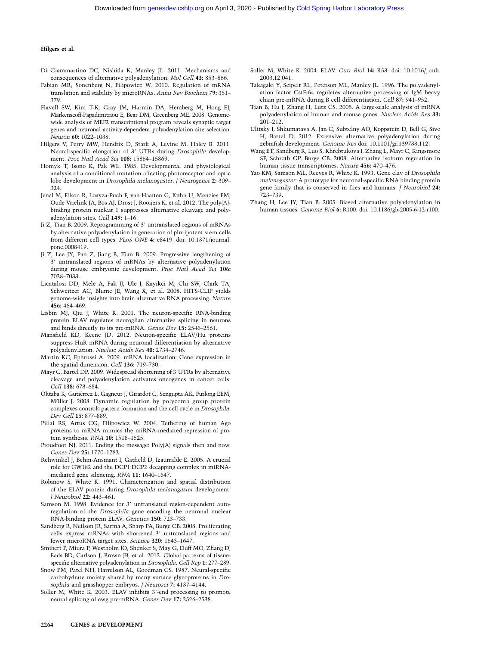### Hilgers et al.

- Di Giammartino DC, Nishida K, Manley JL. 2011. Mechanisms and consequences of alternative polyadenylation. Mol Cell 43: 853–866.
- Fabian MR, Sonenberg N, Filipowicz W. 2010. Regulation of mRNA translation and stability by microRNAs. Annu Rev Biochem 79: 351– 379.
- Flavell SW, Kim T-K, Gray JM, Harmin DA, Hemberg M, Hong EJ, Markenscoff-Papadimitriou E, Bear DM, Greenberg ME. 2008. Genomewide analysis of MEF2 transcriptional program reveals synaptic target genes and neuronal activity-dependent polyadenylation site selection. Neuron 60: 1022–1038.
- Hilgers V, Perry MW, Hendrix D, Stark A, Levine M, Haley B. 2011. Neural-specific elongation of 3' UTRs during Drosophila development. Proc Natl Acad Sci 108: 15864–15869.
- Homyk T, Isono K, Pak WL. 1985. Developmental and physiological analysis of a conditional mutation affecting photoreceptor and optic lobe development in Drosophila melanogaster. J Neurogenet 2: 309– 324.
- Jenal M, Elkon R, Loayza-Puch F, van Haaften G, Kühn U, Menzies FM, Oude Vrielink JA, Bos AJ, Drost J, Rooijers K, et al. 2012. The poly(A) binding protein nuclear 1 suppresses alternative cleavage and polyadenylation sites. Cell 149: 1–16.
- Ji Z, Tian B. 2009. Reprogramming of 3' untranslated regions of mRNAs by alternative polyadenylation in generation of pluripotent stem cells from different cell types. PLoS ONE 4: e8419. doi: 10.1371/journal. pone.0008419.
- Ji Z, Lee JY, Pan Z, Jiang B, Tian B. 2009. Progressive lengthening of 3' untranslated regions of mRNAs by alternative polyadenylation during mouse embryonic development. Proc Natl Acad Sci 106: 7028–7033.
- Licatalosi DD, Mele A, Fak JJ, Ule J, Kayikci M, Chi SW, Clark TA, Schweitzer AC, Blume JE, Wang X, et al. 2008. HITS-CLIP yields genome-wide insights into brain alternative RNA processing. Nature 456: 464–469.
- Lisbin MJ, Qiu J, White K. 2001. The neuron-specific RNA-binding protein ELAV regulates neuroglian alternative splicing in neurons and binds directly to its pre-mRNA. Genes Dev 15: 2546–2561.
- Mansfield KD, Keene JD. 2012. Neuron-specific ELAV/Hu proteins suppress HuR mRNA during neuronal differentiation by alternative polyadenylation. Nucleic Acids Res 40: 2734–2746.
- Martin KC, Ephrussi A. 2009. mRNA localization: Gene expression in the spatial dimension. Cell 136: 719–730.
- Mayr C, Bartel DP. 2009. Widespread shortening of 3'UTRs by alternative cleavage and polyadenylation activates oncogenes in cancer cells. Cell 138: 673–684.
- Oktaba K, Gutiérrez L, Gagneur J, Girardot C, Sengupta AK, Furlong EEM, Müller J. 2008. Dynamic regulation by polycomb group protein complexes controls pattern formation and the cell cycle in Drosophila. Dev Cell 15: 877–889.
- Pillai RS, Artus CG, Filipowicz W. 2004. Tethering of human Ago proteins to mRNA mimics the miRNA-mediated repression of protein synthesis. RNA 10: 1518–1525.
- Proudfoot NJ. 2011. Ending the message: Poly(A) signals then and now. Genes Dev 25: 1770–1782.
- Rehwinkel J, Behm-Ansmant I, Gatfield D, Izaurralde E. 2005. A crucial role for GW182 and the DCP1:DCP2 decapping complex in miRNAmediated gene silencing. RNA 11: 1640–1647.
- Robinow S, White K. 1991. Characterization and spatial distribution of the ELAV protein during Drosophila melanogaster development. J Neurobiol 22: 443–461.
- Samson M. 1998. Evidence for 3' untranslated region-dependent autoregulation of the Drosophila gene encoding the neuronal nuclear RNA-binding protein ELAV. Genetics 150: 723–733.
- Sandberg R, Neilson JR, Sarma A, Sharp PA, Burge CB. 2008. Proliferating cells express mRNAs with shortened 3' untranslated regions and fewer microRNA target sites. Science 320: 1643–1647.
- Smibert P, Miura P, Westholm JO, Shenker S, May G, Duff MO, Zhang D, Eads BD, Carlson J, Brown JB, et al. 2012. Global patterns of tissuespecific alternative polyadenylation in Drosophila. Cell Rep 1: 277–289.
- Snow PM, Patel NH, Harrelson AL, Goodman CS. 1987. Neural-specific carbohydrate moiety shared by many surface glycoproteins in Drosophila and grasshopper embryos. J Neurosci 7: 4137–4144.
- Soller M, White K. 2003. ELAV inhibits  $3'$ -end processing to promote neural splicing of ewg pre-mRNA. Genes Dev 17: 2526–2538.
- Soller M, White K. 2004. ELAV. Curr Biol 14: R53. doi: 10.1016/j.cub. 2003.12.041.
- Takagaki Y, Seipelt RL, Peterson ML, Manley JL. 1996. The polyadenylation factor CstF-64 regulates alternative processing of IgM heavy chain pre-mRNA during B cell differentiation. Cell 87: 941–952.
- Tian B, Hu J, Zhang H, Lutz CS. 2005. A large-scale analysis of mRNA polyadenylation of human and mouse genes. Nucleic Acids Res 33: 201–212.
- Ulitsky I, Shkumatava A, Jan C, Subtelny AO, Koppstein D, Bell G, Sive H, Bartel D. 2012. Extensive alternative polyadenylation during zebrafish development. Genome Res doi: 10.1101/gr.139733.112.
- Wang ET, Sandberg R, Luo S, Khrebtukova I, Zhang L, Mayr C, Kingsmore SF, Schroth GP, Burge CB. 2008. Alternative isoform regulation in human tissue transcriptomes. Nature 456: 470–476.
- Yao KM, Samson ML, Reeves R, White K. 1993. Gene elav of Drosophila melanogaster: A prototype for neuronal-specific RNA binding protein gene family that is conserved in flies and humans. J Neurobiol 24: 723–739.
- Zhang H, Lee JY, Tian B. 2005. Biased alternative polyadenylation in human tissues. Genome Biol 6: R100. doi: 10.1186/gb-2005-6-12-r100.